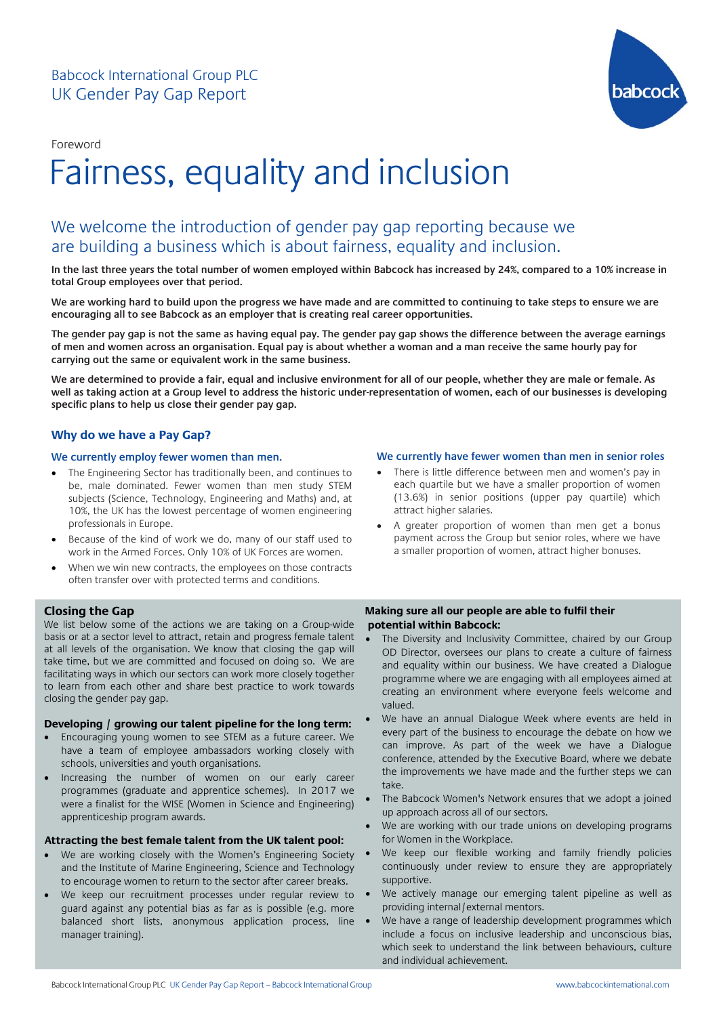Foreword



# Fairness, equality and inclusion

# We welcome the introduction of gender pay gap reporting because we are building a business which is about fairness, equality and inclusion.

**In the last three years the total number of women employed within Babcock has increased by 24%, compared to a 10% increase in total Group employees over that period.**

**We are working hard to build upon the progress we have made and are committed to continuing to take steps to ensure we are encouraging all to see Babcock as an employer that is creating real career opportunities.** 

**The gender pay gap is not the same as having equal pay. The gender pay gap shows the difference between the average earnings of men and women across an organisation. Equal pay is about whether a woman and a man receive the same hourly pay for carrying out the same or equivalent work in the same business.** 

**We are determined to provide a fair, equal and inclusive environment for all of our people, whether they are male or female. As well as taking action at a Group level to address the historic under-representation of women, each of our businesses is developing specific plans to help us close their gender pay gap.** 

## **Why do we have a Pay Gap?**

#### **We currently employ fewer women than men.**

- The Engineering Sector has traditionally been, and continues to be, male dominated. Fewer women than men study STEM subjects (Science, Technology, Engineering and Maths) and, at 10%, the UK has the lowest percentage of women engineering professionals in Europe.
- Because of the kind of work we do, many of our staff used to work in the Armed Forces. Only 10% of UK Forces are women.
- When we win new contracts, the employees on those contracts often transfer over with protected terms and conditions.

#### **Closing the Gap**

 We list below some of the actions we are taking on a Group-wide basis of at a sector level to attract, retain and progress remale talent<br>at all levels of the organisation. We know that closing the gap will take time, but we are committed and focused on doing so. We are  to learn from each other and share best practice to work towards  closing the gender pay gap. basis or at a sector level to attract, retain and progress female talent facilitating ways in which our sectors can work more closely together

# **Developing / growing our talent pipeline for the long term:**<br> **Consider the long terms** is an e<sup>cTTM</sup> as a future assess. We

- Encouraging young women to see STEM as a future career. We have a team of employee ambassadors working closely with schools, universities and youth organisations.
- Increasing the number of women on our early career programmes (graduate and apprentice schemes). In 2017 we were a finalist for the WISE (Women in Science and Engineering) apprenticeship program awards.

## **Attracting the best female talent from the UK talent pool:**

- We are working closely with the Women's Engineering Society and the Institute of Marine Engineering, Science and Technology to encourage women to return to the sector after career breaks.
- We keep our recruitment processes under regular review to guard against any potential bias as far as is possible (e.g. more balanced short lists, anonymous application process, line manager training).

#### **We currently have fewer women than men in senior roles**

- There is little difference between men and women's pay in each quartile but we have a smaller proportion of women (13.6%) in senior positions (upper pay quartile) which attract higher salaries.
- A greater proportion of women than men get a bonus payment across the Group but senior roles, where we have a smaller proportion of women, attract higher bonuses.

#### **Making sure all our people are able to fulfil their potential within Babcock:**

- The Diversity and Inclusivity Committee, chaired by our Group OD Director, oversees our plans to create a culture of fairness and equality within our business. We have created a Dialogue programme where we are engaging with all employees aimed at creating an environment where everyone feels welcome and valued.
- We have an annual Dialogue Week where events are held in every part of the business to encourage the debate on how we can improve. As part of the week we have a Dialogue conference, attended by the Executive Board, where we debate the improvements we have made and the further steps we can take.
- The Babcock Women's Network ensures that we adopt a joined up approach across all of our sectors.
- We are working with our trade unions on developing programs for Women in the Workplace.
- We keep our flexible working and family friendly policies continuously under review to ensure they are appropriately supportive.
- We actively manage our emerging talent pipeline as well as providing internal/external mentors.
- We have a range of leadership development programmes which include a focus on inclusive leadership and unconscious bias, which seek to understand the link between behaviours, culture and individual achievement.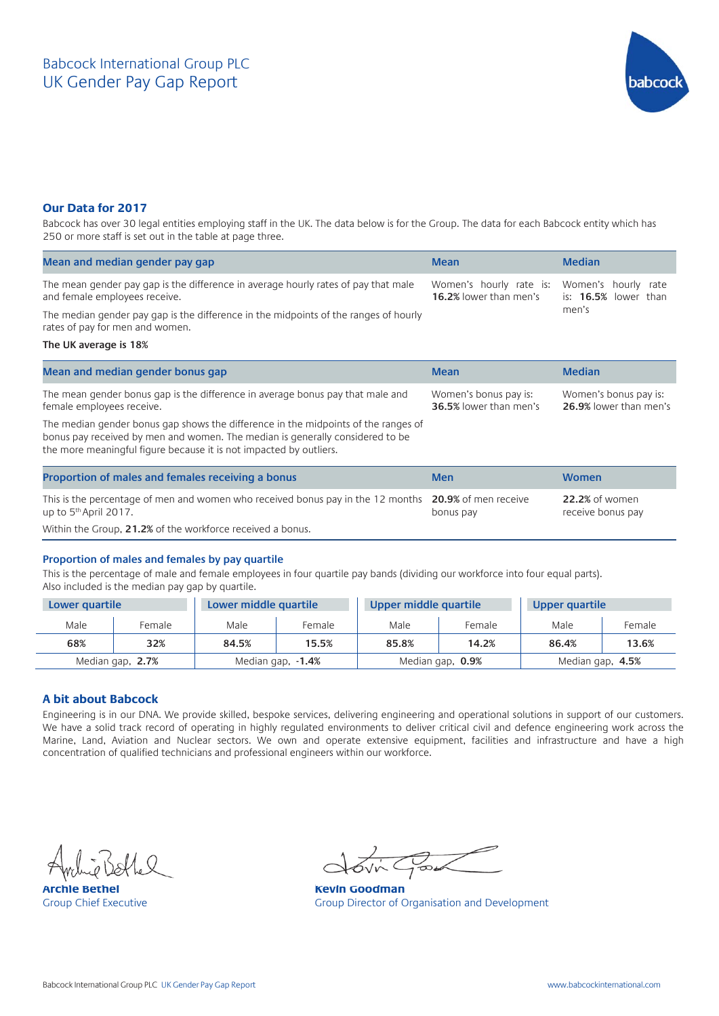

### **Our Data for 2017**

Babcock has over 30 legal entities employing staff in the UK. The data below is for the Group. The data for each Babcock entity which has 250 or more staff is set out in the table at page three.

| Mean and median gender pay gap                                                                                          | <b>Mean</b>                                                                                              | <b>Median</b> |  |
|-------------------------------------------------------------------------------------------------------------------------|----------------------------------------------------------------------------------------------------------|---------------|--|
| The mean gender pay gap is the difference in average hourly rates of pay that male<br>and female employees receive.     | Women's hourly rate is: Women's hourly rate<br><b>16.2%</b> lower than men's is: <b>16.5%</b> lower than |               |  |
| The median gender pay gap is the difference in the midpoints of the ranges of hourly<br>rates of pay for men and women. |                                                                                                          | men's         |  |

#### **The UK average is 18%**

| Mean and median gender bonus gap                                                                                                                                                                                                          | <b>Mean</b>                                            | <b>Median</b>                                   |
|-------------------------------------------------------------------------------------------------------------------------------------------------------------------------------------------------------------------------------------------|--------------------------------------------------------|-------------------------------------------------|
| The mean gender bonus gap is the difference in average bonus pay that male and<br>female employees receive.                                                                                                                               | Women's bonus pay is:<br><b>36.5%</b> lower than men's | Women's bonus pay is:<br>26.9% lower than men's |
| The median gender bonus gap shows the difference in the midpoints of the ranges of<br>bonus pay received by men and women. The median is generally considered to be<br>the more meaningful figure because it is not impacted by outliers. |                                                        |                                                 |
| Proportion of males and females receiving a bonus                                                                                                                                                                                         | <b>Men</b>                                             | <b>Women</b>                                    |
| This is the percentage of men and women who received bonus pay in the 12 months 20.9% of men receive<br>up to 5 <sup>th</sup> April 2017.                                                                                                 | bonus pay                                              | 22.2% of women<br>receive bonus pay             |

Within the Group, **21.2%** of the workforce received a bonus.

#### **Proportion of males and females by pay quartile**

This is the percentage of male and female employees in four quartile pay bands (dividing our workforce into four equal parts). Also included is the median pay gap by quartile.

| Lower quartile                        |        | Lower middle quartile |                  | Upper middle quartile |        | Upper quartile |        |  |
|---------------------------------------|--------|-----------------------|------------------|-----------------------|--------|----------------|--------|--|
| Male                                  | Female | Male                  | Female           | Male                  | Female | Male           | Female |  |
| 68%                                   | 32%    | 84.5%                 | 15.5%            | 85.8%                 | 14.2%  | 86.4%          | 13.6%  |  |
| Median gap, 2.7%<br>Median gap, -1.4% |        |                       | Median gap, 0.9% | Median gap, 4.5%      |        |                |        |  |

#### **A bit about Babcock**

Engineering is in our DNA. We provide skilled, bespoke services, delivering engineering and operational solutions in support of our customers. We have a solid track record of operating in highly regulated environments to deliver critical civil and defence engineering work across the Marine, Land, Aviation and Nuclear sectors. We own and operate extensive equipment, facilities and infrastructure and have a high concentration of qualified technicians and professional engineers within our workforce.

**Archie Bethel Mexico Cooperation Croup Chief Executive Cooperation Croup Director of Cooperation Croup Director of Cooperation Croup Director of Cooperation Croup Director of Cooperation Croup Director of Cooperation Crou** 

Group Director of Organisation and Development